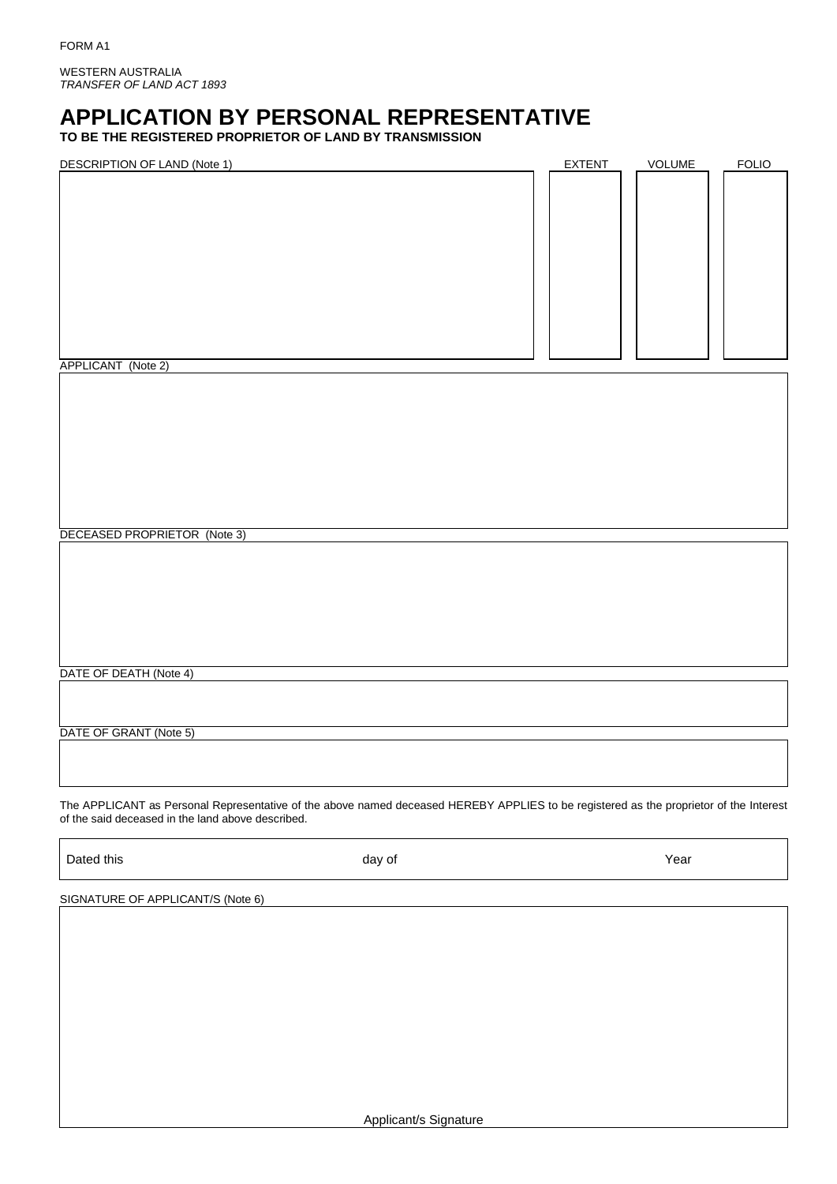WESTERN AUSTRALIA *TRANSFER OF LAND ACT 1893*

# **APPLICATION BY PERSONAL REPRESENTATIVE**

**TO BE THE REGISTERED PROPRIETOR OF LAND BY TRANSMISSION**

| DESCRIPTION OF LAND (Note 1) | <b>EXTENT</b> | VOLUME | <b>FOLIO</b> |
|------------------------------|---------------|--------|--------------|
|                              |               |        |              |
|                              |               |        |              |
|                              |               |        |              |
|                              |               |        |              |
|                              |               |        |              |
|                              |               |        |              |
|                              |               |        |              |
|                              |               |        |              |
|                              |               |        |              |
|                              |               |        |              |
|                              |               |        |              |
|                              |               |        |              |

APPLICANT (Note 2)

DECEASED PROPRIETOR (Note 3)

DATE OF DEATH (Note 4)

DATE OF GRANT (Note 5)

The APPLICANT as Personal Representative of the above named deceased HEREBY APPLIES to be registered as the proprietor of the Interest of the said deceased in the land above described.

Dated this day of Year

SIGNATURE OF APPLICANT/S (Note 6)

Applicant/s Signature